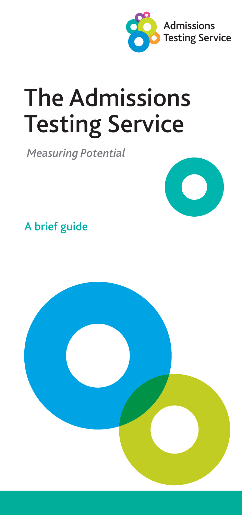

# **The Admissions Testing Service**

*Measuring Potential*



**A brief guide**

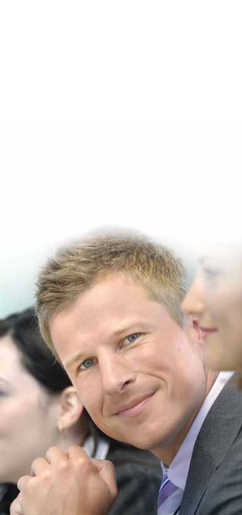![](_page_1_Picture_0.jpeg)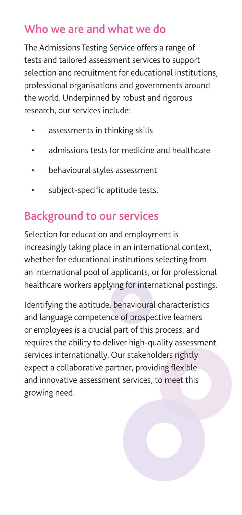## **Who we are and what we do**

The Admissions Testing Service offers a range of tests and tailored assessment services to support selection and recruitment for educational institutions, professional organisations and governments around the world. Underpinned by robust and rigorous research, our services include:

- assessments in thinking skills
- admissions tests for medicine and healthcare
- behavioural styles assessment
- subject-specific aptitude tests.

# **Background to our services**

Selection for education and employment is increasingly taking place in an international context, whether for educational institutions selecting from an international pool of applicants, or for professional healthcare workers applying for international postings.

Identifying the aptitude, behavioural characteristics and language competence of prospective learners or employees is a crucial part of this process, and requires the ability to deliver high-quality assessment services internationally. Our stakeholders rightly expect a collaborative partner, providing flexible and innovative assessment services, to meet this growing need.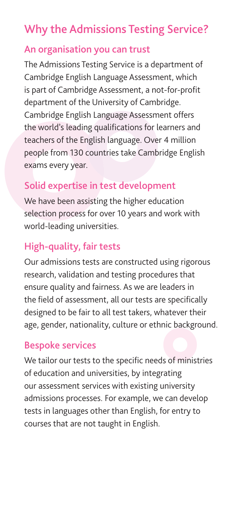# **Why the Admissions Testing Service?**

#### **An organisation you can trust**

The Admissions Testing Service is a department of Cambridge English Language Assessment, which is part of Cambridge Assessment, a not-for-profit department of the University of Cambridge. Cambridge English Language Assessment offers the world's leading qualifications for learners and teachers of the English language. Over 4 million people from 130 countries take Cambridge English exams every year.

#### **Solid expertise in test development**

We have been assisting the higher education selection process for over 10 years and work with world-leading universities.

## **High-quality, fair tests**

Our admissions tests are constructed using rigorous research, validation and testing procedures that ensure quality and fairness. As we are leaders in the field of assessment, all our tests are specifically designed to be fair to all test takers, whatever their age, gender, nationality, culture or ethnic background.

#### **Bespoke services**

We tailor our tests to the specific needs of ministries of education and universities, by integrating our assessment services with existing university admissions processes. For example, we can develop tests in languages other than English, for entry to courses that are not taught in English.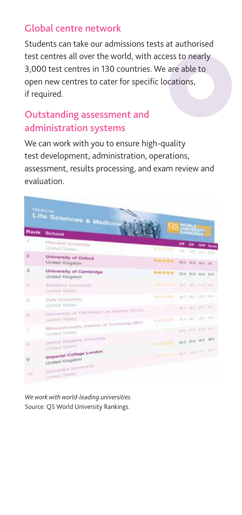#### **Global centre network**

Students can take our admissions tests at authorised test centres all over the world, with access to nearly 3,000 test centres in 130 countries. We are able to open new centres to cater for specific locations, if required.

#### **Outstanding assessment and administration systems**

We can work with you to ensure high-quality test development, administration, operations, assessment, results processing, and exam review and evaluation.

| <b>Millions</b><br>Life Sciences & Medicine |                                                                          |                         |                                                        |
|---------------------------------------------|--------------------------------------------------------------------------|-------------------------|--------------------------------------------------------|
| <b>Rank</b>                                 | <b>School</b>                                                            |                         |                                                        |
|                                             | <b>Manded Unterning</b><br>Orleand Disease                               | $0 = 0.05 - 0.00$       | ᆅ<br>m<br>CPP Scott<br>$\sim$<br><b>THE LINES INCH</b> |
| z                                           | University of Oxford<br>United Kingdom                                   |                         | 313, 324, 324, 54                                      |
| $\geq$                                      | University of Cambridge<br><b>United Kingdom</b>                         | 44466                   | 312 BLF 933 935                                        |
| a                                           | Stanford Linversity<br>Charlesville Charlesville                         | <b>STATISTICS</b>       | ALC: UNEX 1970, Mark                                   |
| ×.                                          | Visle Uniternity<br>Linked Street                                        | -----<br><b>CO 300</b>  | ALC: YEST   TEXT<br>THE 2<br>MA MI ME MI               |
| ×                                           | University of California, Las Angeles (qCCA).<br>I Scotten F (Wilseland) | <b>All and Card Ave</b> | <b>PARTIES OF STREET</b>                               |
| 9                                           | Massachusetts Instrume of Turkeelegy (MTL<br>United Silems               | <b>TERRITA</b>          | FEW SEALERS ARE                                        |
| ×                                           | Unifront Houstone University<br>Ulliand Towns                            | 60,000                  | 23.2 23.2 22.5 22.<br><b>TAILER</b>                    |
| 9                                           | Imperial College London<br>United Kingdom                                | <b>State of Column</b>  | $n(1)$ m+ m $- n$ 3                                    |
| $-10$                                       | Deferribut University<br>Children Games                                  |                         |                                                        |

*We work with world-leading universities.*  Source: QS World University Rankings.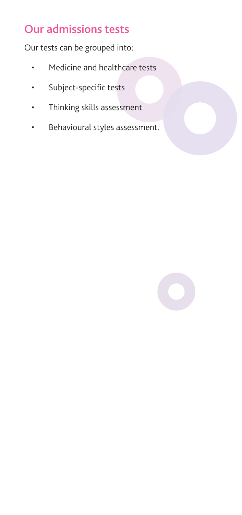## **Our admissions tests**

Our tests can be grouped into:

- Medicine and healthcare tests
- Subject-specific tests
- Thinking skills assessment
- ̐ Behavioural styles assessment.

![](_page_5_Picture_6.jpeg)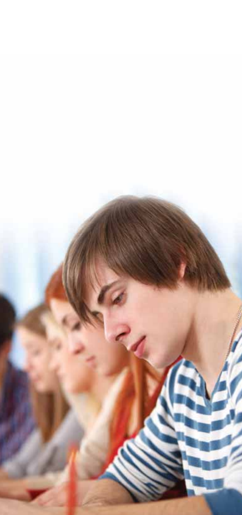![](_page_6_Picture_0.jpeg)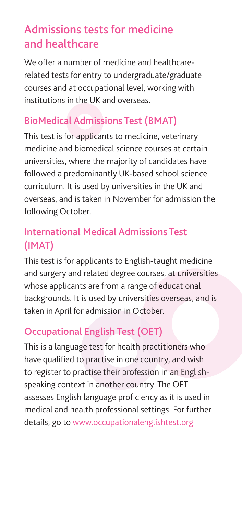## **Admissions tests for medicine and healthcare**

We offer a number of medicine and healthcarerelated tests for entry to undergraduate/graduate courses and at occupational level, working with institutions in the UK and overseas.

## **BioMedical Admissions Test (BMAT)**

This test is for applicants to medicine, veterinary medicine and biomedical science courses at certain universities, where the majority of candidates have followed a predominantly UK-based school science curriculum. It is used by universities in the UK and overseas, and is taken in November for admission the following October.

#### **International Medical Admissions Test (IMAT)**

This test is for applicants to English-taught medicine and surgery and related degree courses, at universities whose applicants are from a range of educational backgrounds. It is used by universities overseas, and is taken in April for admission in October.

#### **Occupational English Test (OET)**

This is a language test for health practitioners who have qualified to practise in one country, and wish to register to practise their profession in an Englishspeaking context in another country. The OET assesses English language proficiency as it is used in medical and health professional settings. For further details, go to www.occupationalenglishtest.org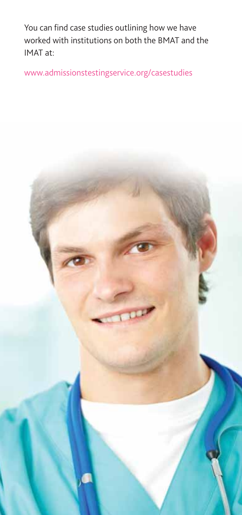You can find case studies outlining how we have worked with institutions on both the BMAT and the IMAT at:

www.admissionstestingservice.org/casestudies

![](_page_8_Picture_2.jpeg)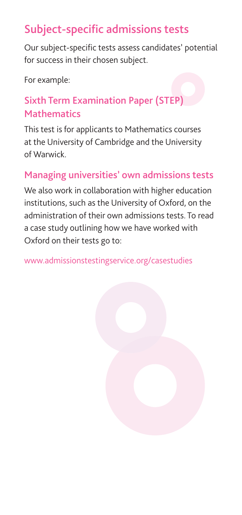## **Subject-specific admissions tests**

Our subject-specific tests assess candidates' potential for success in their chosen subject.

For example:

### **Sixth Term Examination Paper (STEP) Mathematics**

This test is for applicants to Mathematics courses at the University of Cambridge and the University of Warwick.

## **Managing universities' own admissions tests**

We also work in collaboration with higher education institutions, such as the University of Oxford, on the administration of their own admissions tests. To read a case study outlining how we have worked with Oxford on their tests go to:

www.admissionstestingservice.org/casestudies

![](_page_9_Picture_8.jpeg)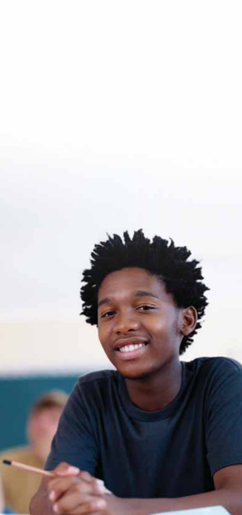![](_page_10_Picture_0.jpeg)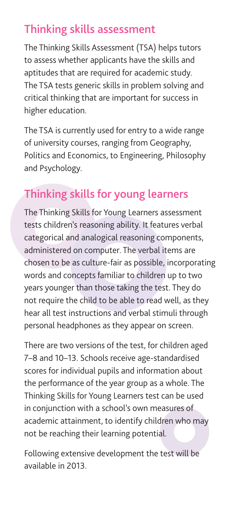## **Thinking skills assessment**

The Thinking Skills Assessment (TSA) helps tutors to assess whether applicants have the skills and aptitudes that are required for academic study. The TSA tests generic skills in problem solving and critical thinking that are important for success in higher education.

The TSA is currently used for entry to a wide range of university courses, ranging from Geography, Politics and Economics, to Engineering, Philosophy and Psychology.

## **Thinking skills for young learners**

The Thinking Skills for Young Learners assessment tests children's reasoning ability. It features verbal categorical and analogical reasoning components, administered on computer. The verbal items are chosen to be as culture-fair as possible, incorporating words and concepts familiar to children up to two years younger than those taking the test. They do not require the child to be able to read well, as they hear all test instructions and verbal stimuli through personal headphones as they appear on screen.

There are two versions of the test, for children aged 7–8 and 10–13. Schools receive age-standardised scores for individual pupils and information about the performance of the year group as a whole. The Thinking Skills for Young Learners test can be used in conjunction with a school's own measures of academic attainment, to identify children who may not be reaching their learning potential.

Following extensive development the test will be available in 2013.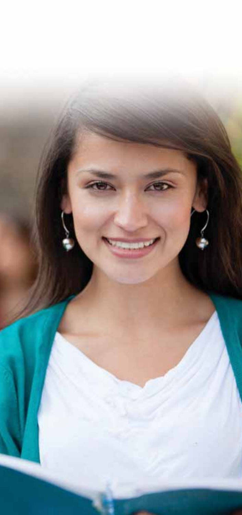![](_page_12_Picture_0.jpeg)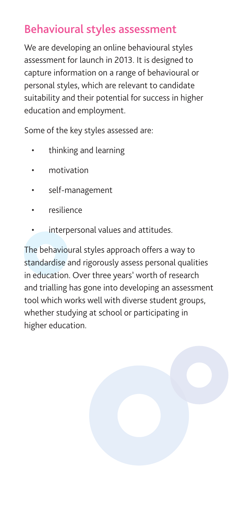## **Behavioural styles assessment**

We are developing an online behavioural styles assessment for launch in 2013. It is designed to capture information on a range of behavioural or personal styles, which are relevant to candidate suitability and their potential for success in higher education and employment.

Some of the key styles assessed are:

- thinking and learning
- motivation
- self-management
- resilience
- interpersonal values and attitudes.

The behavioural styles approach offers a way to standardise and rigorously assess personal qualities in education. Over three years' worth of research and trialling has gone into developing an assessment tool which works well with diverse student groups, whether studying at school or participating in higher education.

![](_page_13_Picture_9.jpeg)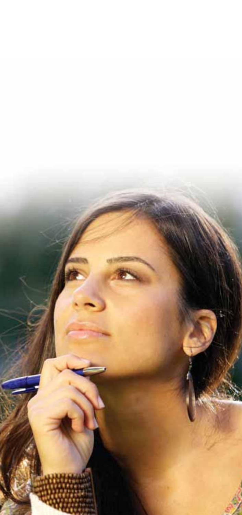![](_page_14_Picture_0.jpeg)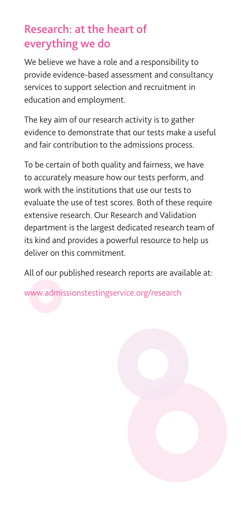## **Research: at the heart of everything we do**

We believe we have a role and a responsibility to provide evidence-based assessment and consultancy services to support selection and recruitment in education and employment.

The key aim of our research activity is to gather evidence to demonstrate that our tests make a useful and fair contribution to the admissions process.

To be certain of both quality and fairness, we have to accurately measure how our tests perform, and work with the institutions that use our tests to evaluate the use of test scores. Both of these require extensive research. Our Research and Validation department is the largest dedicated research team of its kind and provides a powerful resource to help us deliver on this commitment.

All of our published research reports are available at:

www.admissionstestingservice.org/research

![](_page_15_Picture_6.jpeg)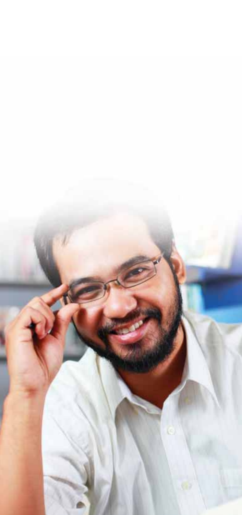![](_page_16_Picture_0.jpeg)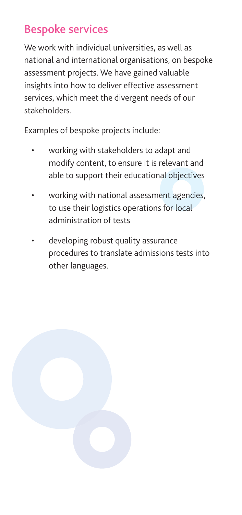## **Bespoke services**

We work with individual universities, as well as national and international organisations, on bespoke assessment projects. We have gained valuable insights into how to deliver effective assessment services, which meet the divergent needs of our stakeholders.

Examples of bespoke projects include:

- working with stakeholders to adapt and modify content, to ensure it is relevant and able to support their educational objectives
- working with national assessment agencies, to use their logistics operations for local administration of tests
- developing robust quality assurance procedures to translate admissions tests into other languages.

![](_page_17_Picture_6.jpeg)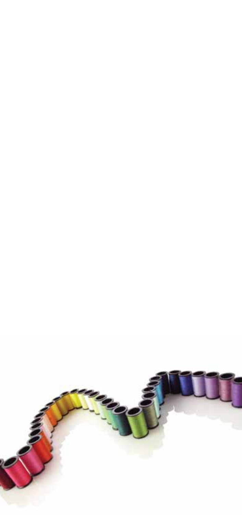![](_page_18_Picture_0.jpeg)